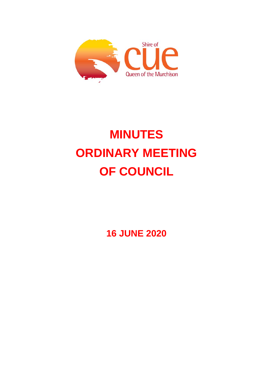

# **MINUTES ORDINARY MEETING OF COUNCIL**

**16 JUNE 2020**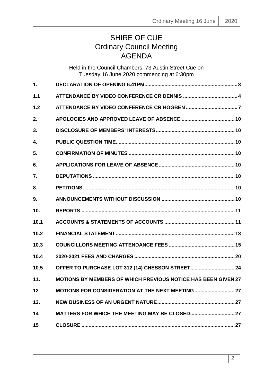# SHIRE OF CUE Ordinary Council Meeting **AGENDA**

|               | Held in the Council Chambers, 73 Austin Street Cue on<br>Tuesday 16 June 2020 commencing at 6:30pm |  |
|---------------|----------------------------------------------------------------------------------------------------|--|
| $\mathbf 1$ . |                                                                                                    |  |
| 1.1           |                                                                                                    |  |
| 1.2           |                                                                                                    |  |
| 2.            |                                                                                                    |  |
| 3.            |                                                                                                    |  |
| 4.            |                                                                                                    |  |
| 5.            |                                                                                                    |  |
| 6.            |                                                                                                    |  |
| 7.            |                                                                                                    |  |
| 8.            |                                                                                                    |  |
| 9.            |                                                                                                    |  |
| 10.           |                                                                                                    |  |
| 10.1          |                                                                                                    |  |
| 10.2          |                                                                                                    |  |
| 10.3          |                                                                                                    |  |
| 10.4          |                                                                                                    |  |
| 10.5          | <b>OFFER TO PURCHASE LOT 312 (14) CHESSON STREET 24</b>                                            |  |
| 11.           | <b>MOTIONS BY MEMBERS OF WHICH PREVIOUS NOTICE HAS BEEN GIVEN 27</b>                               |  |
| 12            | MOTIONS FOR CONSIDERATION AT THE NEXT MEETING  27                                                  |  |
| 13.           |                                                                                                    |  |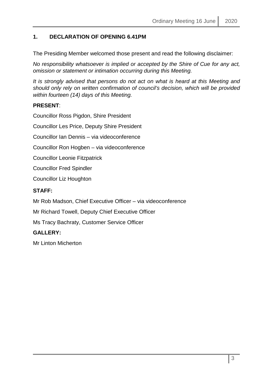# <span id="page-2-0"></span>**1. DECLARATION OF OPENING 6.41PM**

The Presiding Member welcomed those present and read the following disclaimer:

*No responsibility whatsoever is implied or accepted by the Shire of Cue for any act, omission or statement or intimation occurring during this Meeting.*

*It is strongly advised that persons do not act on what is heard at this Meeting and should only rely on written confirmation of council's decision, which will be provided within fourteen (14) days of this Meeting.*

# **PRESENT**:

Councillor Ross Pigdon, Shire President

Councillor Les Price, Deputy Shire President

Councillor Ian Dennis – via videoconference

Councillor Ron Hogben – via videoconference

Councillor Leonie Fitzpatrick

Councillor Fred Spindler

Councillor Liz Houghton

# **STAFF:**

Mr Rob Madson, Chief Executive Officer – via videoconference

Mr Richard Towell, Deputy Chief Executive Officer

Ms Tracy Bachraty, Customer Service Officer

# **GALLERY:**

Mr Linton Micherton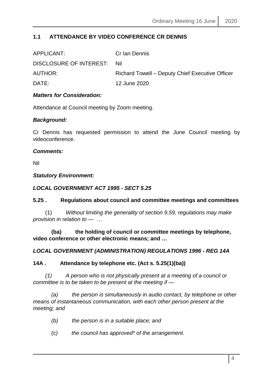# <span id="page-3-0"></span>**1.1 ATTENDANCE BY VIDEO CONFERENCE CR DENNIS**

| APPLICANT:                  | Cr Ian Dennis                                   |
|-----------------------------|-------------------------------------------------|
| DISCLOSURE OF INTEREST: Nil |                                                 |
| AUTHOR:                     | Richard Towell – Deputy Chief Executive Officer |
| DATE:                       | 12 June 2020                                    |
|                             |                                                 |

# *Matters for Consideration:*

Attendance at Council meeting by Zoom meeting.

# *Background:*

Cr Dennis has requested permission to attend the June Council meeting by videoconference.

#### *Comments:*

Nil

#### *Statutory Environment:*

# *LOCAL GOVERNMENT ACT 1995 - SECT 5.25*

# **5.25 . Regulations about council and committee meetings and committees**

 (1) *Without limiting the generality of section 9.59, regulations may make provision in relation to —* …

 **(ba) the holding of council or committee meetings by telephone, video conference or other electronic means; and …**

# *LOCAL GOVERNMENT (ADMINISTRATION) REGULATIONS 1996 - REG 14A*

# **14A . Attendance by telephone etc. (Act s. 5.25(1)(ba))**

 *(1) A person who is not physically present at a meeting of a council or committee is to be taken to be present at the meeting if —*

 *(a) the person is simultaneously in audio contact, by telephone or other means of instantaneous communication, with each other person present at the meeting; and* 

- *(b) the person is in a suitable place; and*
- *(c) the council has approved\* of the arrangement.*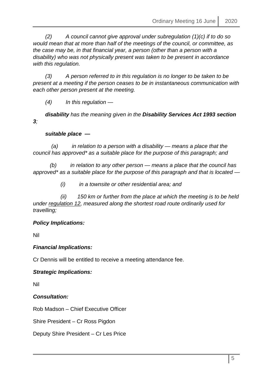*(2) A council cannot give approval under subregulation (1)(c) if to do so would mean that at more than half of the meetings of the council, or committee, as the case may be, in that financial year, a person (other than a person with a disability) who was not physically present was taken to be present in accordance with this regulation.* 

 *(3) A person referred to in this regulation is no longer to be taken to be present at a meeting if the person ceases to be in instantaneous communication with each other person present at the meeting.* 

 *(4) In this regulation —*

 *disability has the meaning given in the Disability Services Act 1993 section 3;* 

# *suitable place —*

 *(a) in relation to a person with a disability — means a place that the council has approved\* as a suitable place for the purpose of this paragraph; and* 

 *(b) in relation to any other person — means a place that the council has approved\* as a suitable place for the purpose of this paragraph and that is located —*

 *(i) in a townsite or other residential area; and* 

 *(ii) 150 km or further from the place at which the meeting is to be held under regulation 12, measured along the shortest road route ordinarily used for travelling;*

# *Policy Implications:*

Nil

# *Financial Implications:*

Cr Dennis will be entitled to receive a meeting attendance fee.

# *Strategic Implications:*

Nil

*Consultation:*

Rob Madson – Chief Executive Officer

Shire President – Cr Ross Pigdon

Deputy Shire President – Cr Les Price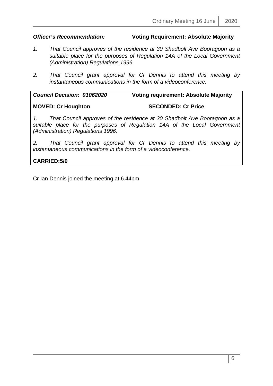# *Officer's Recommendation:* **Voting Requirement: Absolute Majority**

- *1. That Council approves of the residence at 30 Shadbolt Ave Booragoon as a suitable place for the purposes of Regulation 14A of the Local Government (Administration) Regulations 1996.*
- *2. That Council grant approval for Cr Dennis to attend this meeting by instantaneous communications in the form of a videoconference.*

*Council Decision: 01062020* **Voting requirement: Absolute Majority**

**MOVED: Cr Houghton SECONDED: Cr Price**

*1. That Council approves of the residence at 30 Shadbolt Ave Booragoon as a suitable place for the purposes of Regulation 14A of the Local Government (Administration) Regulations 1996.*

*2. That Council grant approval for Cr Dennis to attend this meeting by instantaneous communications in the form of a videoconference.*

**CARRIED:5/0**

Cr Ian Dennis joined the meeting at 6.44pm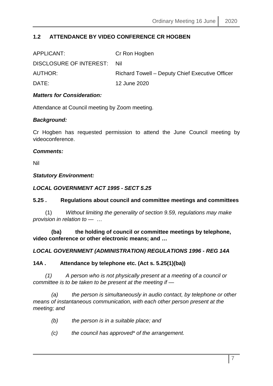# <span id="page-6-0"></span>**1.2 ATTENDANCE BY VIDEO CONFERENCE CR HOGBEN**

| APPLICANT:                  | Cr Ron Hogben                                   |
|-----------------------------|-------------------------------------------------|
| DISCLOSURE OF INTEREST: Nil |                                                 |
| <b>AUTHOR:</b>              | Richard Towell - Deputy Chief Executive Officer |
| DATE:                       | 12 June 2020                                    |
|                             |                                                 |

# *Matters for Consideration:*

Attendance at Council meeting by Zoom meeting.

# *Background:*

Cr Hogben has requested permission to attend the June Council meeting by videoconference.

#### *Comments:*

Nil

#### *Statutory Environment:*

# *LOCAL GOVERNMENT ACT 1995 - SECT 5.25*

# **5.25 . Regulations about council and committee meetings and committees**

 (1) *Without limiting the generality of section 9.59, regulations may make provision in relation to —* …

 **(ba) the holding of council or committee meetings by telephone, video conference or other electronic means; and …**

# *LOCAL GOVERNMENT (ADMINISTRATION) REGULATIONS 1996 - REG 14A*

# **14A . Attendance by telephone etc. (Act s. 5.25(1)(ba))**

 *(1) A person who is not physically present at a meeting of a council or committee is to be taken to be present at the meeting if —*

 *(a) the person is simultaneously in audio contact, by telephone or other means of instantaneous communication, with each other person present at the meeting; and* 

- *(b) the person is in a suitable place; and*
- *(c) the council has approved\* of the arrangement.*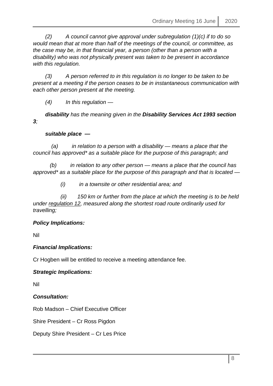*(2) A council cannot give approval under subregulation (1)(c) if to do so would mean that at more than half of the meetings of the council, or committee, as the case may be, in that financial year, a person (other than a person with a disability) who was not physically present was taken to be present in accordance with this regulation.* 

 *(3) A person referred to in this regulation is no longer to be taken to be present at a meeting if the person ceases to be in instantaneous communication with each other person present at the meeting.* 

 *(4) In this regulation —*

 *disability has the meaning given in the Disability Services Act 1993 section 3;* 

# *suitable place —*

 *(a) in relation to a person with a disability — means a place that the council has approved\* as a suitable place for the purpose of this paragraph; and* 

 *(b) in relation to any other person — means a place that the council has approved\* as a suitable place for the purpose of this paragraph and that is located —*

 *(i) in a townsite or other residential area; and* 

 *(ii) 150 km or further from the place at which the meeting is to be held under regulation 12, measured along the shortest road route ordinarily used for travelling;*

# *Policy Implications:*

Nil

# *Financial Implications:*

Cr Hogben will be entitled to receive a meeting attendance fee.

# *Strategic Implications:*

Nil

*Consultation:*

Rob Madson – Chief Executive Officer

Shire President – Cr Ross Pigdon

Deputy Shire President – Cr Les Price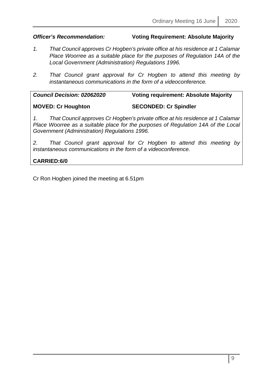# *Officer's Recommendation:* **Voting Requirement: Absolute Majority**

- *1. That Council approves Cr Hogben's private office at his residence at 1 Calamar Place Woorree as a suitable place for the purposes of Regulation 14A of the Local Government (Administration) Regulations 1996.*
- *2. That Council grant approval for Cr Hogben to attend this meeting by instantaneous communications in the form of a videoconference.*

| <b>Council Decision: 02062020</b> | <b>Voting requirement: Absolute Majority</b> |  |  |
|-----------------------------------|----------------------------------------------|--|--|
| <b>MOVED: Cr Houghton</b>         | <b>SECONDED: Cr Spindler</b>                 |  |  |

*1. That Council approves Cr Hogben's private office at his residence at 1 Calamar Place Woorree as a suitable place for the purposes of Regulation 14A of the Local Government (Administration) Regulations 1996.*

*2. That Council grant approval for Cr Hogben to attend this meeting by instantaneous communications in the form of a videoconference.*

# **CARRIED:6/0**

Cr Ron Hogben joined the meeting at 6.51pm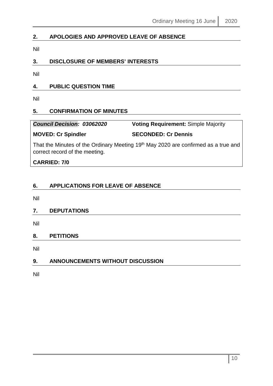# <span id="page-9-0"></span>**2. APOLOGIES AND APPROVED LEAVE OF ABSENCE**

Nil

# <span id="page-9-1"></span>**3. DISCLOSURE OF MEMBERS' INTERESTS**

Nil

# <span id="page-9-2"></span>**4. PUBLIC QUESTION TIME**

Nil

# <span id="page-9-3"></span>**5. CONFIRMATION OF MINUTES**

| <b>Council Decision: 03062020</b> | <b>Voting Requirement: Simple Majority</b> |
|-----------------------------------|--------------------------------------------|
|                                   |                                            |

# **MOVED: Cr Spindler SECONDED: Cr Dennis**

That the Minutes of the Ordinary Meeting 19<sup>th</sup> May 2020 are confirmed as a true and correct record of the meeting.

**CARRIED: 7/0**

# <span id="page-9-4"></span>**6. APPLICATIONS FOR LEAVE OF ABSENCE**

Nil

# <span id="page-9-5"></span>**7. DEPUTATIONS**

Nil

# <span id="page-9-6"></span>**8. PETITIONS**

Nil

# <span id="page-9-7"></span>**9. ANNOUNCEMENTS WITHOUT DISCUSSION**

Nil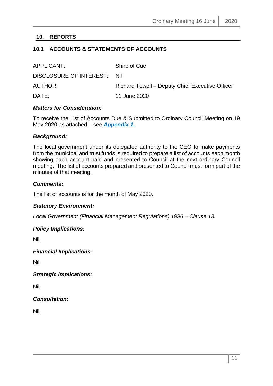# <span id="page-10-0"></span>**10. REPORTS**

# <span id="page-10-1"></span>**10.1 ACCOUNTS & STATEMENTS OF ACCOUNTS**

| APPLICANT:                  | Shire of Cue                                    |
|-----------------------------|-------------------------------------------------|
| DISCLOSURE OF INTEREST: Nil |                                                 |
| <b>AUTHOR:</b>              | Richard Towell – Deputy Chief Executive Officer |
| DATE:                       | 11 June 2020                                    |

#### *Matters for Consideration:*

To receive the List of Accounts Due & Submitted to Ordinary Council Meeting on 19 May 2020 as attached – see *Appendix 1.*

#### *Background:*

The local government under its delegated authority to the CEO to make payments from the municipal and trust funds is required to prepare a list of accounts each month showing each account paid and presented to Council at the next ordinary Council meeting. The list of accounts prepared and presented to Council must form part of the minutes of that meeting.

#### *Comments:*

The list of accounts is for the month of May 2020.

# *Statutory Environment:*

*Local Government (Financial Management Regulations) 1996 – Clause 13.*

#### *Policy Implications:*

Nil.

# *Financial Implications:*

Nil.

*Strategic Implications:*

Nil.

# *Consultation:*

Nil.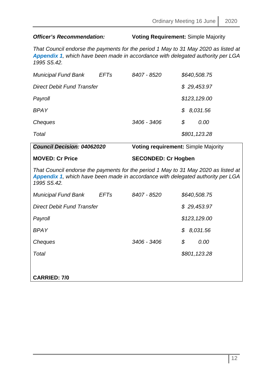# *Officer's Recommendation:* **Voting Requirement:** Simple Majority

*That Council endorse the payments for the period 1 May to 31 May 2020 as listed at Appendix 1, which have been made in accordance with delegated authority per LGA 1995 S5.42.*

| <b>Municipal Fund Bank</b> | <b>EFTs</b> | 8407 - 8520 | \$640,508.75  |
|----------------------------|-------------|-------------|---------------|
| Direct Debit Fund Transfer |             |             | \$29,453.97   |
| Payroll                    |             |             | \$123, 129.00 |
| <b>BPAY</b>                |             |             | \$8,031.56    |
| Cheques                    |             | 3406 - 3406 | \$<br>0.00    |
| Total                      |             |             | \$801,123.28  |

| <b>Council Decision: 04062020</b>                                                                                                                                                    |             | <b>Voting requirement: Simple Majority</b> |    |  |              |
|--------------------------------------------------------------------------------------------------------------------------------------------------------------------------------------|-------------|--------------------------------------------|----|--|--------------|
| <b>MOVED: Cr Price</b>                                                                                                                                                               |             | <b>SECONDED: Cr Hogben</b>                 |    |  |              |
| That Council endorse the payments for the period 1 May to 31 May 2020 as listed at<br>Appendix 1, which have been made in accordance with delegated authority per LGA<br>1995 S5.42. |             |                                            |    |  |              |
| <b>Municipal Fund Bank</b>                                                                                                                                                           | <b>EFTs</b> | 8407 - 8520                                |    |  | \$640,508.75 |
| <b>Direct Debit Fund Transfer</b>                                                                                                                                                    |             |                                            |    |  | \$29,453.97  |
| Payroll                                                                                                                                                                              |             |                                            |    |  | \$123,129.00 |
| <b>BPAY</b>                                                                                                                                                                          |             |                                            |    |  | \$8,031.56   |
| Cheques                                                                                                                                                                              |             | 3406 - 3406                                | \$ |  | 0.00         |
| Total                                                                                                                                                                                |             |                                            |    |  | \$801,123.28 |
|                                                                                                                                                                                      |             |                                            |    |  |              |
| <b>CARRIED: 7/0</b>                                                                                                                                                                  |             |                                            |    |  |              |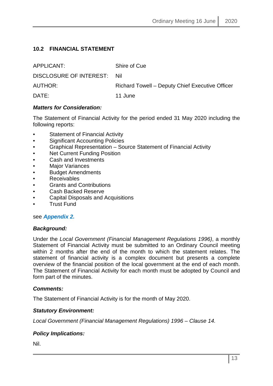# <span id="page-12-0"></span>**10.2 FINANCIAL STATEMENT**

| APPLICANT:                  | Shire of Cue                                    |
|-----------------------------|-------------------------------------------------|
| DISCLOSURE OF INTEREST: Nil |                                                 |
| AUTHOR:                     | Richard Towell – Deputy Chief Executive Officer |
| DATE:                       | 11 June                                         |

# *Matters for Consideration:*

The Statement of Financial Activity for the period ended 31 May 2020 including the following reports:

- Statement of Financial Activity
- Significant Accounting Policies
- Graphical Representation Source Statement of Financial Activity
- **Net Current Funding Position**
- Cash and Investments
- **Major Variances**
- Budget Amendments
- Receivables
- Grants and Contributions
- Cash Backed Reserve
- Capital Disposals and Acquisitions
- Trust Fund

# see *Appendix 2.*

# *Background:*

Under the *Local Government (Financial Management Regulations 1996)*, a monthly Statement of Financial Activity must be submitted to an Ordinary Council meeting within 2 months after the end of the month to which the statement relates. The statement of financial activity is a complex document but presents a complete overview of the financial position of the local government at the end of each month. The Statement of Financial Activity for each month must be adopted by Council and form part of the minutes.

# *Comments:*

The Statement of Financial Activity is for the month of May 2020.

# *Statutory Environment:*

*Local Government (Financial Management Regulations) 1996 – Clause 14.*

# *Policy Implications:*

Nil.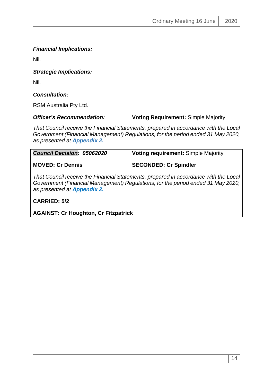*Financial Implications:*

Nil.

*Strategic Implications:*

Nil.

*Consultation:*

RSM Australia Pty Ltd.

# *Officer's Recommendation:* **Voting Requirement:** Simple Majority

*That Council receive the Financial Statements, prepared in accordance with the Local Government (Financial Management) Regulations, for the period ended 31 May 2020, as presented at Appendix 2.*

| <b>Council Decision: 05062020</b> | <b>Voting requirement: Simple Majority</b>                                        |  |  |
|-----------------------------------|-----------------------------------------------------------------------------------|--|--|
| <b>MOVED: Cr Dennis</b>           | <b>SECONDED: Cr Spindler</b>                                                      |  |  |
|                                   | That Caugail resource the Financial Clatements, proporced in coordense with the I |  |  |

*That Council receive the Financial Statements, prepared in accordance with the Local Government (Financial Management) Regulations, for the period ended 31 May 2020, as presented at Appendix 2.*

**CARRIED: 5/2** 

**AGAINST: Cr Houghton, Cr Fitzpatrick**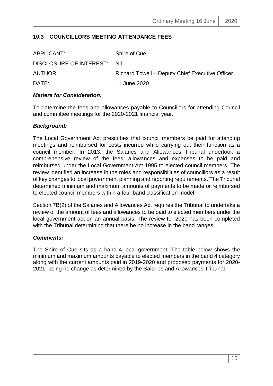# <span id="page-14-0"></span>**10.3 COUNCILLORS MEETING ATTENDANCE FEES**

| APPLICANT:                  | Shire of Cue                                    |
|-----------------------------|-------------------------------------------------|
| DISCLOSURE OF INTEREST: Nil |                                                 |
| AUTHOR:                     | Richard Towell – Deputy Chief Executive Officer |
| DATE:                       | 11 June 2020                                    |
|                             |                                                 |

# *Matters for Consideration:*

To determine the fees and allowances payable to Councillors for attending Council and committee meetings for the 2020-2021 financial year.

# *Background:*

The Local Government Act prescribes that council members be paid for attending meetings and reimbursed for costs incurred while carrying out their function as a council member. In 2013, the Salaries and Allowances Tribunal undertook a comprehensive review of the fees, allowances and expenses to be paid and reimbursed under the Local Government Act 1995 to elected council members. The review identified an increase in the roles and responsibilities of councillors as a result of key changes to local government planning and reporting requirements. The Tribunal determined minimum and maximum amounts of payments to be made or reimbursed to elected council members within a four band classification model.

Section 7B(2) of the Salaries and Allowances Act requires the Tribunal to undertake a review of the amount of fees and allowances to be paid to elected members under the local government act on an annual basis. The review for 2020 has been completed with the Tribunal determining that there be no increase in the band ranges.

# *Comments:*

The Shire of Cue sits as a band 4 local government. The table below shows the minimum and maximum amounts payable to elected members in the band 4 category along with the current amounts paid in 2019-2020 and proposed payments for 2020- 2021, being no change as determined by the Salaries and Allowances Tribunal.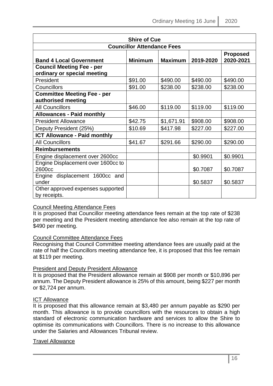| <b>Shire of Cue</b>                                                                                             |         |            |          |          |  |  |  |
|-----------------------------------------------------------------------------------------------------------------|---------|------------|----------|----------|--|--|--|
| <b>Councillor Attendance Fees</b>                                                                               |         |            |          |          |  |  |  |
| <b>Proposed</b><br>2020-2021<br><b>Maximum</b><br>2019-2020<br><b>Minimum</b><br><b>Band 4 Local Government</b> |         |            |          |          |  |  |  |
| <b>Council Meeting Fee - per</b>                                                                                |         |            |          |          |  |  |  |
| ordinary or special meeting                                                                                     |         |            |          |          |  |  |  |
| President                                                                                                       | \$91.00 | \$490.00   | \$490.00 | \$490.00 |  |  |  |
| Councillors                                                                                                     | \$91.00 | \$238.00   | \$238.00 | \$238.00 |  |  |  |
| <b>Committee Meeting Fee - per</b><br>authorised meeting                                                        |         |            |          |          |  |  |  |
| <b>All Councillors</b>                                                                                          | \$46.00 | \$119.00   | \$119.00 | \$119.00 |  |  |  |
| <b>Allowances - Paid monthly</b>                                                                                |         |            |          |          |  |  |  |
| <b>President Allowance</b>                                                                                      | \$42.75 | \$1,671.91 | \$908.00 | \$908.00 |  |  |  |
| Deputy President (25%)                                                                                          | \$10.69 | \$417.98   | \$227.00 | \$227.00 |  |  |  |
| <b>ICT Allowance - Paid monthly</b>                                                                             |         |            |          |          |  |  |  |
| <b>All Councillors</b>                                                                                          | \$41.67 | \$291.66   | \$290.00 | \$290.00 |  |  |  |
| <b>Reimbursements</b>                                                                                           |         |            |          |          |  |  |  |
| Engine displacement over 2600cc                                                                                 |         |            | \$0.9901 | \$0.9901 |  |  |  |
| Engine Displacement over 1600cc to                                                                              |         |            |          |          |  |  |  |
| 2600cc                                                                                                          |         |            | \$0.7087 | \$0.7087 |  |  |  |
| Engine displacement 1600cc and                                                                                  |         |            |          |          |  |  |  |
| under                                                                                                           |         |            | \$0.5837 | \$0.5837 |  |  |  |
| Other approved expenses supported                                                                               |         |            |          |          |  |  |  |
| by receipts.                                                                                                    |         |            |          |          |  |  |  |

# Council Meeting Attendance Fees

It is proposed that Councillor meeting attendance fees remain at the top rate of \$238 per meeting and the President meeting attendance fee also remain at the top rate of \$490 per meeting.

# Council Committee Attendance Fees

Recognising that Council Committee meeting attendance fees are usually paid at the rate of half the Councillors meeting attendance fee, it is proposed that this fee remain at \$119 per meeting.

# President and Deputy President Allowance

It is proposed that the President allowance remain at \$908 per month or \$10,896 per annum. The Deputy President allowance is 25% of this amount, being \$227 per month or \$2,724 per annum.

# ICT Allowance

It is proposed that this allowance remain at \$3,480 per annum payable as \$290 per month. This allowance is to provide councillors with the resources to obtain a high standard of electronic communication hardware and services to allow the Shire to optimise its communications with Councillors. There is no increase to this allowance under the Salaries and Allowances Tribunal review.

# Travel Allowance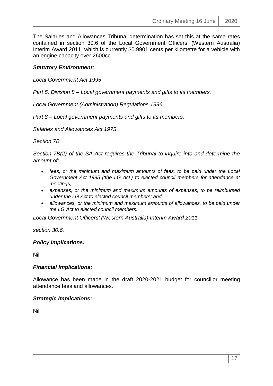The Salaries and Allowances Tribunal determination has set this at the same rates contained in section 30.6 of the Local Government Officers' (Western Australia) Interim Award 2011, which is currently \$0.9901 cents per kilometre for a vehicle with an engine capacity over 2600cc.

# *Statutory Environment:*

*Local Government Act 1995* 

*Part 5, Division 8 – Local government payments and gifts to its members.*

*Local Government (Administration) Regulations 1996* 

*Part 8 – Local government payments and gifts to its members.*

*Salaries and Allowances Act 1975* 

*Section 7B*

*Section 7B(2) of the SA Act requires the Tribunal to inquire into and determine the amount of:* 

- *fees, or the minimum and maximum amounts of fees, to be paid under the Local Government Act 1995 ('the LG Act') to elected council members for attendance at meetings;*
- *expenses, or the minimum and maximum amounts of expenses, to be reimbursed under the LG Act to elected council members; and*
- *allowances, or the minimum and maximum amounts of allowances, to be paid under the LG Act to elected council members.*

*Local Government Officers' (Western Australia) Interim Award 2011* 

*section 30.6.*

# *Policy Implications:*

Nil

# *Financial Implications:*

Allowance has been made in the draft 2020-2021 budget for councillor meeting attendance fees and allowances.

# *Strategic Implications:*

Nil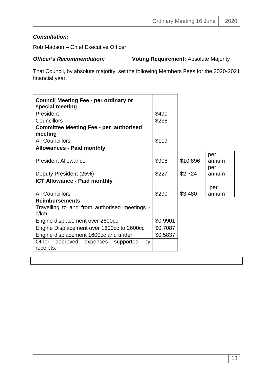# *Consultation:*

Rob Madson – Chief Executive Officer

**Officer's Recommendation: Voting Requirement:** Absolute Majority

That Council, by absolute majority, set the following Members Fees for the 2020-2021 financial year.

| <b>Council Meeting Fee - per ordinary or</b><br>special meeting |          |          |              |
|-----------------------------------------------------------------|----------|----------|--------------|
| President                                                       | \$490    |          |              |
| Councillors                                                     | \$238    |          |              |
| <b>Committee Meeting Fee - per authorised</b><br>meeting        |          |          |              |
| <b>All Councillors</b>                                          | \$119    |          |              |
| <b>Allowances - Paid monthly</b>                                |          |          |              |
| <b>President Allowance</b>                                      | \$908    | \$10,896 | per<br>annum |
| Deputy President (25%)                                          | \$227    | \$2,724  | per<br>annum |
| <b>ICT Allowance - Paid monthly</b>                             |          |          |              |
| <b>All Councillors</b>                                          | \$290    | \$3,480  | per<br>annum |
| <b>Reimbursements</b>                                           |          |          |              |
| Travelling to and from authorised meetings -<br>c/km            |          |          |              |
| Engine displacement over 2600cc                                 | \$0.9901 |          |              |
| Engine Displacement over 1600cc to 2600cc                       | \$0.7087 |          |              |
| Engine displacement 1600cc and under                            | \$0.5837 |          |              |
| Other approved expenses supported<br>by<br>receipts.            |          |          |              |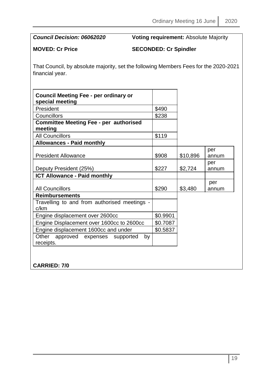*Council Decision: 06062020* **Voting requirement:** Absolute Majority

**MOVED: Cr Price SECONDED: Cr Spindler**

That Council, by absolute majority, set the following Members Fees for the 2020-2021 financial year.

| <b>Council Meeting Fee - per ordinary or</b><br>special meeting |          |          |              |
|-----------------------------------------------------------------|----------|----------|--------------|
| President                                                       | \$490    |          |              |
| Councillors                                                     | \$238    |          |              |
| <b>Committee Meeting Fee - per authorised</b><br>meeting        |          |          |              |
| <b>All Councillors</b>                                          | \$119    |          |              |
| <b>Allowances - Paid monthly</b>                                |          |          |              |
| <b>President Allowance</b>                                      | \$908    | \$10,896 | per<br>annum |
| Deputy President (25%)                                          | \$227    | \$2,724  | per<br>annum |
| <b>ICT Allowance - Paid monthly</b>                             |          |          |              |
| <b>All Councillors</b>                                          | \$290    | \$3,480  | per<br>annum |
| <b>Reimbursements</b>                                           |          |          |              |
| Travelling to and from authorised meetings -<br>c/km            |          |          |              |
| Engine displacement over 2600cc                                 | \$0.9901 |          |              |
| Engine Displacement over 1600cc to 2600cc                       | \$0.7087 |          |              |
| Engine displacement 1600cc and under                            | \$0.5837 |          |              |
| Other approved expenses supported<br>by<br>receipts.            |          |          |              |

**CARRIED: 7/0**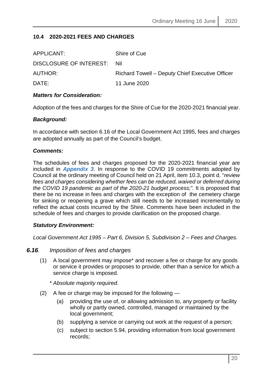# <span id="page-19-0"></span>**10.4 2020-2021 FEES AND CHARGES**

| APPLICANT:                  | Shire of Cue                                    |
|-----------------------------|-------------------------------------------------|
| DISCLOSURE OF INTEREST: Nil |                                                 |
| AUTHOR:                     | Richard Towell - Deputy Chief Executive Officer |
| DATE:                       | 11 June 2020                                    |
|                             |                                                 |

#### *Matters for Consideration:*

Adoption of the fees and charges for the Shire of Cue for the 2020-2021 financial year.

#### *Background:*

In accordance with section 6.16 of the Local Government Act 1995, fees and charges are adopted annually as part of the Council's budget.

#### *Comments:*

The schedules of fees and charges proposed for the 2020-2021 financial year are included in *Appendix 3*. In response to the COVID 19 commitments adopted by Council at the ordinary meeting of Council held on 21 April, item 10.3, point d. "*review fees and charges considering whether fees can be reduced, waived or deferred during the COVID 19 pandemic as part of the 2020-21 budget process;".* It is proposed that there be no increase in fees and charges with the exception of the cemetery charge for sinking or reopening a grave which still needs to be increased incrementally to reflect the actual costs incurred by the Shire. Comments have been included in the schedule of fees and charges to provide clarification on the proposed charge.

#### *Statutory Environment:*

*Local Government Act 1995 – Part 6, Division 5, Subdivision 2 – Fees and Charges.*

#### *6.16. Imposition of fees and charges*

- (1) A local government may impose\* and recover a fee or charge for any goods or service it provides or proposes to provide, other than a service for which a service charge is imposed.
	- *\* Absolute majority required.*
- (2) A fee or charge may be imposed for the following
	- (a) providing the use of, or allowing admission to, any property or facility wholly or partly owned, controlled, managed or maintained by the local government;
	- (b) supplying a service or carrying out work at the request of a person;
	- (c) subject to section 5.94, providing information from local government records;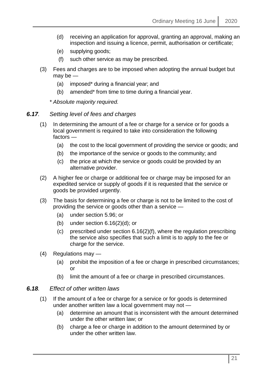- (d) receiving an application for approval, granting an approval, making an inspection and issuing a licence, permit, authorisation or certificate;
- (e) supplying goods;
- (f) such other service as may be prescribed.
- (3) Fees and charges are to be imposed when adopting the annual budget but may be —
	- (a) imposed\* during a financial year; and
	- (b) amended\* from time to time during a financial year.

*\* Absolute majority required.*

- *6.17. Setting level of fees and charges*
	- (1) In determining the amount of a fee or charge for a service or for goods a local government is required to take into consideration the following factors —
		- (a) the cost to the local government of providing the service or goods; and
		- (b) the importance of the service or goods to the community; and
		- (c) the price at which the service or goods could be provided by an alternative provider.
	- (2) A higher fee or charge or additional fee or charge may be imposed for an expedited service or supply of goods if it is requested that the service or goods be provided urgently.
	- (3) The basis for determining a fee or charge is not to be limited to the cost of providing the service or goods other than a service —
		- (a) under section 5.96; or
		- (b) under section  $6.16(2)(d)$ ; or
		- (c) prescribed under section 6.16(2)(f), where the regulation prescribing the service also specifies that such a limit is to apply to the fee or charge for the service.
	- (4) Regulations may
		- (a) prohibit the imposition of a fee or charge in prescribed circumstances; or
		- (b) limit the amount of a fee or charge in prescribed circumstances.

#### *6.18. Effect of other written laws*

- (1) If the amount of a fee or charge for a service or for goods is determined under another written law a local government may not —
	- (a) determine an amount that is inconsistent with the amount determined under the other written law; or
	- (b) charge a fee or charge in addition to the amount determined by or under the other written law.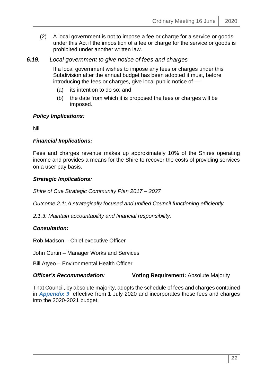(2) A local government is not to impose a fee or charge for a service or goods under this Act if the imposition of a fee or charge for the service or goods is prohibited under another written law.

# *6.19. Local government to give notice of fees and charges*

If a local government wishes to impose any fees or charges under this Subdivision after the annual budget has been adopted it must, before introducing the fees or charges, give local public notice of —

- (a) its intention to do so; and
- (b) the date from which it is proposed the fees or charges will be imposed.

#### *Policy Implications:*

Nil

# *Financial Implications:*

Fees and charges revenue makes up approximately 10% of the Shires operating income and provides a means for the Shire to recover the costs of providing services on a user pay basis.

#### *Strategic Implications:*

*Shire of Cue Strategic Community Plan 2017 – 2027*

*Outcome 2.1: A strategically focused and unified Council functioning efficiently*

*2.1.3: Maintain accountability and financial responsibility.* 

# *Consultation:*

Rob Madson – Chief executive Officer

John Curtin – Manager Works and Services

Bill Atyeo – Environmental Health Officer

# **Officer's Recommendation: Voting Requirement: Absolute Majority**

That Council, by absolute majority, adopts the schedule of fees and charges contained in *Appendix 3* effective from 1 July 2020 and incorporates these fees and charges into the 2020-2021 budget.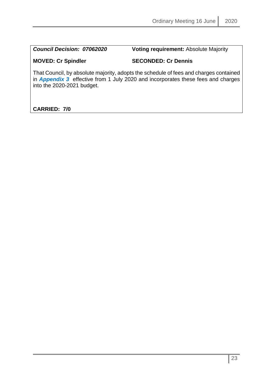*Council Decision: 07062020* **Voting requirement:** Absolute Majority

# **MOVED: Cr Spindler SECONDED: Cr Dennis**

That Council, by absolute majority, adopts the schedule of fees and charges contained in *Appendix 3* effective from 1 July 2020 and incorporates these fees and charges into the 2020-2021 budget.

# **CARRIED: 7/0**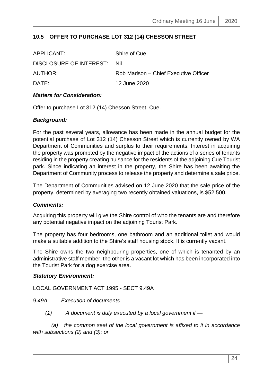# <span id="page-23-0"></span>**10.5 OFFER TO PURCHASE LOT 312 (14) CHESSON STREET**

| APPLICANT:              | Shire of Cue                         |
|-------------------------|--------------------------------------|
| DISCLOSURE OF INTEREST: | - Nil                                |
| AUTHOR:                 | Rob Madson – Chief Executive Officer |
| DATE:                   | 12 June 2020                         |

#### *Matters for Consideration:*

Offer to purchase Lot 312 (14) Chesson Street, Cue.

#### *Background:*

For the past several years, allowance has been made in the annual budget for the potential purchase of Lot 312 (14) Chesson Street which is currently owned by WA Department of Communities and surplus to their requirements. Interest in acquiring the property was prompted by the negative impact of the actions of a series of tenants residing in the property creating nuisance for the residents of the adjoining Cue Tourist park. Since indicating an interest in the property, the Shire has been awaiting the Department of Community process to release the property and determine a sale price.

The Department of Communities advised on 12 June 2020 that the sale price of the property, determined by averaging two recently obtained valuations, is \$52,500.

#### *Comments:*

Acquiring this property will give the Shire control of who the tenants are and therefore any potential negative impact on the adjoining Tourist Park.

The property has four bedrooms, one bathroom and an additional toilet and would make a suitable addition to the Shire's staff housing stock. It is currently vacant.

The Shire owns the two neighbouring properties, one of which is tenanted by an administrative staff member, the other is a vacant lot which has been incorporated into the Tourist Park for a dog exercise area.

#### *Statutory Environment:*

LOCAL GOVERNMENT ACT 1995 - SECT 9.49A

*9.49A Execution of documents*

 *(1) A document is duly executed by a local government if —* 

 *(a) the common seal of the local government is affixed to it in accordance with subsections (2) and (3); or*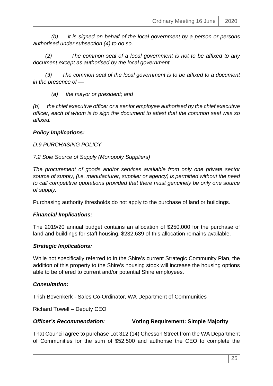*(b) it is signed on behalf of the local government by a person or persons authorised under subsection (4) to do so.* 

 *(2) The common seal of a local government is not to be affixed to any document except as authorised by the local government.* 

 *(3) The common seal of the local government is to be affixed to a document in the presence of —*

 *(a) the mayor or president; and* 

*(b) the chief executive officer or a senior employee authorised by the chief executive officer, each of whom is to sign the document to attest that the common seal was so affixed.*

#### *Policy Implications:*

*D.9 PURCHASING POLICY*

*7.2 Sole Source of Supply (Monopoly Suppliers)*

*The procurement of goods and/or services available from only one private sector source of supply, (i.e. manufacturer, supplier or agency) is permitted without the need to call competitive quotations provided that there must genuinely be only one source of supply.*

Purchasing authority thresholds do not apply to the purchase of land or buildings.

# *Financial Implications:*

The 2019/20 annual budget contains an allocation of \$250,000 for the purchase of land and buildings for staff housing. \$232,639 of this allocation remains available.

# *Strategic Implications:*

While not specifically referred to in the Shire's current Strategic Community Plan, the addition of this property to the Shire's housing stock will increase the housing options able to be offered to current and/or potential Shire employees.

# *Consultation:*

Trish Bovenkerk - Sales Co-Ordinator, WA Department of Communities

Richard Towell – Deputy CEO

#### *Officer's Recommendation:* **Voting Requirement: Simple Majority**

That Council agree to purchase Lot 312 (14) Chesson Street from the WA Department of Communities for the sum of \$52,500 and authorise the CEO to complete the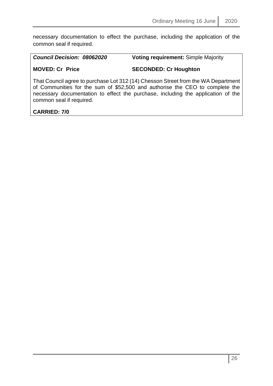necessary documentation to effect the purchase, including the application of the common seal if required.

| <b>Council Decision: 08062020</b> | <b>Voting requirement: Simple Majority</b> |
|-----------------------------------|--------------------------------------------|
| <b>MOVED: Cr Price</b>            | <b>SECONDED: Cr Houghton</b>               |

That Council agree to purchase Lot 312 (14) Chesson Street from the WA Department of Communities for the sum of \$52,500 and authorise the CEO to complete the necessary documentation to effect the purchase, including the application of the common seal if required.

# **CARRIED: 7/0**